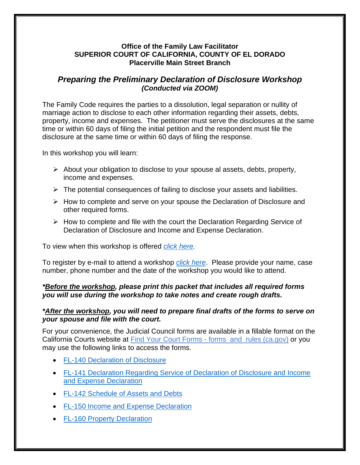# **Office of the Family Law Facilitator SUPERIOR COURT OF CALIFORNIA, COUNTY OF EL DORADO Placerville Main Street Branch**

# *Preparing the Preliminary Declaration of Disclosure Workshop (Conducted via ZOOM)*

The Family Code requires the parties to a dissolution, legal separation or nullity of marriage action to disclose to each other information regarding their assets, debts, property, income and expenses. The petitioner must serve the disclosures at the same time or within 60 days of filing the initial petition and the respondent must file the disclosure at the same time or within 60 days of filing the response.

In this workshop you will learn:

- $\triangleright$  About your obligation to disclose to your spouse al assets, debts, property, income and expenses.
- $\triangleright$  The potential consequences of failing to disclose your assets and liabilities.
- $\triangleright$  How to complete and serve on your spouse the Declaration of Disclosure and other required forms.
- $\triangleright$  How to complete and file with the court the Declaration Regarding Service of Declaration of Disclosure and Income and Expense Declaration.

To view when this workshop is offered *[click here.](http://www.eldoradocourt.org/documents/pdf/facilitatorschedule.pdf)*

To register by e-mail to attend a workshop *[click here](mailto:selfhelp@eldoradocourt.org?subject=Preliminary%20Declaration%20of%20Disclosure%20Workshop)*. Please provide your name, case number, phone number and the date of the workshop you would like to attend.

## *\*Before the workshop, please print this packet that includes all required forms you will use during the workshop to take notes and create rough drafts.*

## *\*After the workshop, you will need to prepare final drafts of the forms to serve on your spouse and file with the court.*

For your convenience, the Judicial Council forms are available in a fillable format on the California Courts website at Find Your Court Forms - forms and rules (ca.gov) or you may use the following links to access the forms.

- [FL-140 Declaration of Disclosure](https://www.courts.ca.gov/documents/fl140.pdf)
- [FL-141 Declaration Regarding Service of Declaration of Disclosure and Income](https://www.courts.ca.gov/documents/fl141.pdf)  [and Expense Declaration](https://www.courts.ca.gov/documents/fl141.pdf)
- [FL-142 Schedule of Assets and Debts](https://www.courts.ca.gov/documents/fl142.pdf)
- [FL-150 Income and Expense Declaration](https://www.courts.ca.gov/documents/fl150.pdf)
- [FL-160 Property Declaration](https://www.courts.ca.gov/documents/fl160.pdf)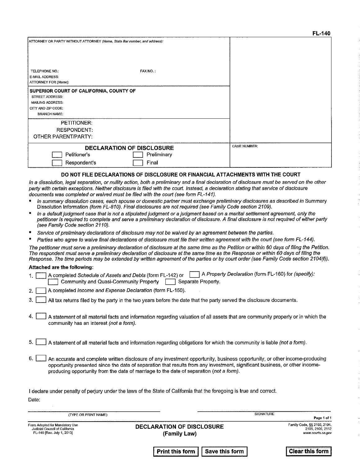|                                                                                                                                    |             | г. – 140            |
|------------------------------------------------------------------------------------------------------------------------------------|-------------|---------------------|
| ATTORNEY OR PARTY WITHOUT ATTORNEY (Name, State Bar number, and address):                                                          |             |                     |
| TELEPHONE NO.:                                                                                                                     | FAX NO.:    |                     |
| E-MAIL ADDRESS:                                                                                                                    |             |                     |
| ATTORNEY FOR (Name):                                                                                                               |             |                     |
| SUPERIOR COURT OF CALIFORNIA, COUNTY OF<br><b>STREET ADDRESS:</b><br>MAILING ADDRESS:<br>CITY AND ZIP CODE:<br><b>BRANCH NAME:</b> |             |                     |
| <b>PETITIONER:</b>                                                                                                                 |             |                     |
| <b>RESPONDENT:</b>                                                                                                                 |             |                     |
| OTHER PARENT/PARTY:                                                                                                                |             |                     |
| DECLARATION OF DISCLOSURE<br>Petitioner's                                                                                          | Preliminary | <b>CASE NUMBER:</b> |
| Respondent's                                                                                                                       | Final       |                     |

#### DO NOT FILE DECLARATIONS OF DISCLOSURE OR FINANCIAL ATTACHMENTS WITH THE COURT

In a dissolution, legal separation, or nullity action, both a preliminary and a final declaration of disclosure must be served on the other party with certain exceptions. Neither disclosure is filed with the court. Instead, a declaration stating that service of disclosure documents was completed or waived must be filed with the court (see form FL-141).

- In summary dissolution cases, each spouse or domestic partner must exchange preliminary disclosures as described in Summary Dissolution Information (form FL-810). Final disclosures are not required (see Family Code section 2109).
- In a default judgment case that is not a stipulated judgment or a judgment based on a marital settlement agreement, only the petitioner is required to complete and serve a preliminary declaration of disclosure. A final disclosure is not required of either party (see Family Code section 2110).
- Service of preliminary declarations of disclosure may not be waived by an agreement between the parties.
- Parties who agree to waive final declarations of disclosure must file their written agreement with the court (see form FL-144).

The petitioner must serve a preliminary declaration of disclosure at the same time as the Petition or within 60 days of filing the Petition. The respondent must serve a preliminary declaration of disclosure at the same time as the Response or within 60 days of filing the Response. The time periods may be extended by written agreement of the parties or by court order (see Family Code section 2104(f)).

#### Attached are the following:

- A completed Schedule of Assets and Debts (form FL-142) or **[external A Property Declaration (form FL-160)** for (specify):  $1<sub>1</sub>$ Community and Quasi-Community Property | Separate Property.
- A completed *Income and Expense Declaration* (form FL-150).  $2<sup>2</sup>$
- $3<sub>1</sub>$ All tax returns filed by the party in the two years before the date that the party served the disclosure documents.
- $\overline{4}$ A statement of all material facts and information regarding valuation of all assets that are community property or in which the community has an interest (not a form).
- $5.1$ A statement of all material facts and information regarding obligations for which the community is liable (not a form).
- $6.1$ An accurate and complete written disclosure of any investment opportunity, business opportunity, or other income-producing opportunity presented since the date of separation that results from any investment, significant business, or other incomeproducing opportunity from the date of marriage to the date of separation (not a form).

I declare under penalty of periury under the laws of the State of California that the foregoing is true and correct. Date:

| (TYPE OR PRINT NAME)                                                                           |                                                  | SIGNATURE |                                                                      |
|------------------------------------------------------------------------------------------------|--------------------------------------------------|-----------|----------------------------------------------------------------------|
|                                                                                                |                                                  |           | Page 1 of 1                                                          |
| Form Adopted for Mandatory Use<br>Judicial Council of California<br>FL 140 [Rev. July 1, 2013] | <b>DECLARATION OF DISCLOSURE</b><br>(Family Law) |           | Family Code, §§ 2102, 2104,<br>2105, 2106, 2112<br>www.courts.ca.gov |

**Print this form** 

**Save this form** 

**Clear this form**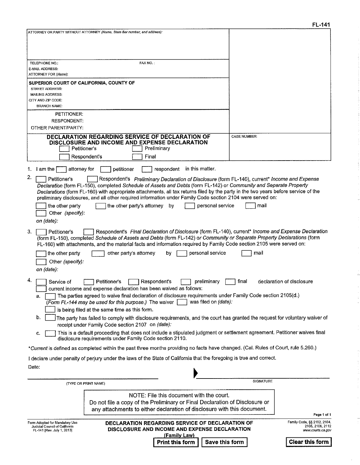÷.

à.

| ATTORNEY OR PARTY WITHOUT ATTORNEY (Name, State Bar number, and address):                                                                                                                                                                                                                                                                                                                                                                                                                                                                                                |                                                                      |
|--------------------------------------------------------------------------------------------------------------------------------------------------------------------------------------------------------------------------------------------------------------------------------------------------------------------------------------------------------------------------------------------------------------------------------------------------------------------------------------------------------------------------------------------------------------------------|----------------------------------------------------------------------|
|                                                                                                                                                                                                                                                                                                                                                                                                                                                                                                                                                                          |                                                                      |
| FAX NO.:<br>TELEPHONE NO.:<br>E MAIL ADDRESS.                                                                                                                                                                                                                                                                                                                                                                                                                                                                                                                            |                                                                      |
| ATTORNEY FOR (Name):                                                                                                                                                                                                                                                                                                                                                                                                                                                                                                                                                     |                                                                      |
| SUPERIOR COURT OF CALIFORNIA, COUNTY OF<br>STREET ADDRESS:                                                                                                                                                                                                                                                                                                                                                                                                                                                                                                               |                                                                      |
| MAILING ADDRESS:                                                                                                                                                                                                                                                                                                                                                                                                                                                                                                                                                         |                                                                      |
| CITY AND ZIP CODE:<br><b>BRANCH NAME:</b>                                                                                                                                                                                                                                                                                                                                                                                                                                                                                                                                |                                                                      |
| PETITIONER:                                                                                                                                                                                                                                                                                                                                                                                                                                                                                                                                                              |                                                                      |
| <b>RESPONDENT:</b><br>OTHER PARENT/PARTY:                                                                                                                                                                                                                                                                                                                                                                                                                                                                                                                                |                                                                      |
| DECLARATION REGARDING SERVICE OF DECLARATION OF                                                                                                                                                                                                                                                                                                                                                                                                                                                                                                                          | <b>CASE NUMBER:</b>                                                  |
| DISCLOSURE AND INCOME AND EXPENSE DECLARATION<br>Petitioner's<br>Preliminary                                                                                                                                                                                                                                                                                                                                                                                                                                                                                             |                                                                      |
| Respondent's<br>Final                                                                                                                                                                                                                                                                                                                                                                                                                                                                                                                                                    |                                                                      |
| in this matter.<br>1. I am the<br>attorney for<br>petitioner<br>respondent                                                                                                                                                                                                                                                                                                                                                                                                                                                                                               |                                                                      |
| 2.<br>Petitioner's<br>Respondent's Preliminary Declaration of Disclosure (form FL-140), current* Income and Expense<br>Declaration (form FL-150), completed Schedule of Assets and Debts (form FL-142) or Community and Separate Property<br>Declarations (form FL-160) with appropriate attachments, all tax returns filed by the party in the two years before service of the<br>preliminary disclosures, and all other required information under Family Code section 2104 were served on:<br>the other party<br>the other party's attorney<br>by<br>personal service | mail                                                                 |
| Other (specify):<br>on (aate):                                                                                                                                                                                                                                                                                                                                                                                                                                                                                                                                           |                                                                      |
| Respondent's Final Declaration of Disclosure (form FL-140), current* Income and Expense Declaration<br>3.<br>Petitioner's<br>(form FL-150), completed Schedule of Assets and Debts (form FL-142) or Community or Separate Property Declarations (form<br>FL-160) with attachments, and the material facts and information required by Family Code section 2105 were served on:                                                                                                                                                                                           |                                                                      |
| personal service<br>the other party<br>other party's attorney<br>bγ<br>Other (specify):<br>on (date).                                                                                                                                                                                                                                                                                                                                                                                                                                                                    | mail                                                                 |
| 4.<br>Petitioner's<br>Respondent's<br>Service of<br>preliminary<br>current income and expense declaration has been waived as follows:                                                                                                                                                                                                                                                                                                                                                                                                                                    | declaration of disclosure<br>final                                   |
| The parties agreed to waive final declaration of disclosure requirements under Family Code section 2105(d.)<br>a.<br>was filed on (date):<br>(Form FL-144 may be used for this purpose.) The waiver $\lceil$<br>is being filed at the same time as this form.                                                                                                                                                                                                                                                                                                            |                                                                      |
| b.<br>The party has failed to comply with disclosure requirements, and the court has granted the request for voluntary waiver of<br>receipt under Family Code section 2107 on (date):                                                                                                                                                                                                                                                                                                                                                                                    |                                                                      |
| This is a default proceeding that does not include a stipulated judgment or settlement agreement. Petitioner waives final<br>c.<br>disclosure requirements under Family Code section 2110.                                                                                                                                                                                                                                                                                                                                                                               |                                                                      |
| *Current is defined as completed within the past three months providing no facts have changed. (Cal. Rules of Court, rule 5.260.)                                                                                                                                                                                                                                                                                                                                                                                                                                        |                                                                      |
| I declare under penalty of perjury under the laws of the State of California that the foregoing is true and correct.                                                                                                                                                                                                                                                                                                                                                                                                                                                     |                                                                      |
| Date:                                                                                                                                                                                                                                                                                                                                                                                                                                                                                                                                                                    |                                                                      |
| (TYPE OR PRINT NAME)                                                                                                                                                                                                                                                                                                                                                                                                                                                                                                                                                     | SIGNATURE                                                            |
| NOTE: File this document with the court.<br>Do not file a copy of the Preliminary or Final Declaration of Disclosure or                                                                                                                                                                                                                                                                                                                                                                                                                                                  |                                                                      |
| any attachments to either declaration of disclosure with this document.                                                                                                                                                                                                                                                                                                                                                                                                                                                                                                  | Page 1 of 1                                                          |
| Form Adopted for Mandatory Use<br>DECLARATION REGARDING SERVICE OF DECLARATION OF<br>Judicial Council of California<br>DISCLOSURE AND INCOME AND EXPENSE DECLARATION<br>FL-141 [Rev. July 1, 2013]                                                                                                                                                                                                                                                                                                                                                                       | Family Code, §§ 2102, 2104,<br>2105, 2106, 2112<br>www.courts.ca.gov |
| (Family Law)<br>Save this form<br>Print this form                                                                                                                                                                                                                                                                                                                                                                                                                                                                                                                        | <b>Clear this form</b>                                               |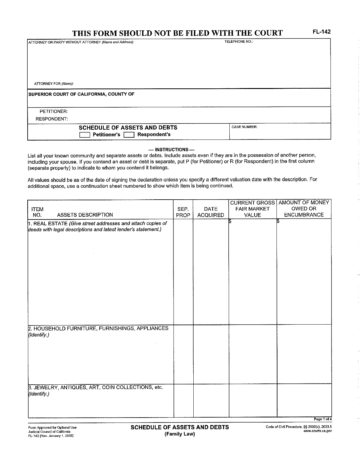# THIS FORM SHOULD NOT BE FILED WITH THE COURT

ATTORNEY OR PARTY WITHOUT ATTORNEY (Name and Address):

TELEPHONE NO.:

ATTORNEY FOR (Name):

### SUPERIOR COURT OF CALIFORNIA, COUNTY OF

PETITIONER:

**RESPONDENT:** 

| THE EXPERIMENT OF CHARLES           | -------------   |
|-------------------------------------|-----------------|
| <b>SCHEDULE OF ASSETS AND DEBTS</b> | NUMBER.<br>しれごこ |
| — ⊢Resnoner<br>---------            |                 |

 $-$  INSTRUCTIONS $-$ 

List all your known community and separate assets or debts. Include assets even if they are in the possession of another person, including your spouse. If you contend an asset or debt is separate, put P (for Petitioner) or R (for Respondent) in the first column (separate property) to indicate to whom you contend it belongs.

All values should be as of the date of signing the declaration unless you specify a different valuation date with the description. For additional space, use a continuation sheet numbered to show which item is being continued.

|                                                                                                                             |      |                 |                    | <b>CURRENT GROSS AMOUNT OF MONEY</b> |
|-----------------------------------------------------------------------------------------------------------------------------|------|-----------------|--------------------|--------------------------------------|
| <b>ITEM</b>                                                                                                                 | SEP. | DATE            | <b>FAIR MARKET</b> | OWED OR                              |
| NO.<br><b>ASSETS DESCRIPTION</b>                                                                                            | PROP | <b>ACQUIRED</b> | <b>VALUE</b>       | <b>ENCUMBRANCE</b>                   |
| 1. REAL ESTATE (Give street addresses and attach copies of<br>deeds with legal descriptions and latest lender's statement.) |      |                 |                    | ł,                                   |
|                                                                                                                             |      |                 |                    |                                      |
|                                                                                                                             |      |                 |                    |                                      |
|                                                                                                                             |      |                 |                    |                                      |
|                                                                                                                             |      |                 |                    |                                      |
|                                                                                                                             |      |                 |                    |                                      |
|                                                                                                                             |      |                 |                    |                                      |
|                                                                                                                             |      |                 |                    |                                      |
|                                                                                                                             |      |                 |                    |                                      |
|                                                                                                                             |      |                 |                    |                                      |
|                                                                                                                             |      |                 |                    |                                      |
|                                                                                                                             |      |                 |                    |                                      |
|                                                                                                                             |      |                 |                    |                                      |
|                                                                                                                             |      |                 |                    |                                      |
| 2. HOUSEHOLD FURNITURE, FURNISHINGS, APPLIANCES                                                                             |      |                 |                    |                                      |
| (Identify.)                                                                                                                 |      |                 |                    |                                      |
|                                                                                                                             |      |                 |                    |                                      |
|                                                                                                                             |      |                 |                    |                                      |
|                                                                                                                             |      |                 |                    |                                      |
|                                                                                                                             |      |                 |                    |                                      |
|                                                                                                                             |      |                 |                    |                                      |
|                                                                                                                             |      |                 |                    |                                      |
| 3. JEWELRY, ANTIQUES, ART, COIN COLLECTIONS, etc.<br>(Identify.)                                                            |      |                 |                    |                                      |
|                                                                                                                             |      |                 |                    |                                      |
|                                                                                                                             |      |                 |                    |                                      |
|                                                                                                                             |      |                 |                    |                                      |
|                                                                                                                             |      |                 |                    | Page 1 of 4                          |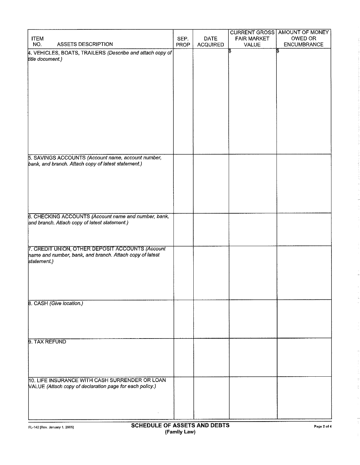|                                                           |      |                 | <b>CURRENT GROSS</b> | AMOUNT OF MONEY    |
|-----------------------------------------------------------|------|-----------------|----------------------|--------------------|
| <b>ITEM</b>                                               | SEP. | DATE            | <b>FAIR MARKET</b>   | OWED OR            |
| <b>ASSETS DESCRIPTION</b><br>NO.                          | PROP | <b>ACQUIRED</b> | VALUE                | <b>ENCUMBRANCE</b> |
| 4. VEHICLES, BOATS, TRAILERS (Describe and attach copy of |      |                 |                      |                    |
| title document.)                                          |      |                 |                      |                    |
|                                                           |      |                 |                      |                    |
|                                                           |      |                 |                      |                    |
|                                                           |      |                 |                      |                    |
|                                                           |      |                 |                      |                    |
|                                                           |      |                 |                      |                    |
|                                                           |      |                 |                      |                    |
|                                                           |      |                 |                      |                    |
|                                                           |      |                 |                      |                    |
|                                                           |      |                 |                      |                    |
|                                                           |      |                 |                      |                    |
|                                                           |      |                 |                      |                    |
|                                                           |      |                 |                      |                    |
|                                                           |      |                 |                      |                    |
|                                                           |      |                 |                      |                    |
| 5. SAVINGS ACCOUNTS (Account name, account number,        |      |                 |                      |                    |
| bank, and branch. Attach copy of latest statement.)       |      |                 |                      |                    |
|                                                           |      |                 |                      |                    |
|                                                           |      |                 |                      |                    |
|                                                           |      |                 |                      |                    |
|                                                           |      |                 |                      |                    |
|                                                           |      |                 |                      |                    |
|                                                           |      |                 |                      |                    |
|                                                           |      |                 |                      |                    |
| 6. CHECKING ACCOUNTS (Account name and number, bank,      |      |                 |                      |                    |
| and branch. Attach copy of latest statement.)             |      |                 |                      |                    |
|                                                           |      |                 |                      |                    |
|                                                           |      |                 |                      |                    |
|                                                           |      |                 |                      |                    |
| 7. CREDIT UNION, OTHER DEPOSIT ACCOUNTS (Account          |      |                 |                      |                    |
| hame and number, bank, and branch. Attach copy of latest  |      |                 |                      |                    |
| statement.)                                               |      |                 |                      |                    |
|                                                           |      |                 |                      |                    |
|                                                           |      |                 |                      |                    |
|                                                           |      |                 |                      |                    |
|                                                           |      |                 |                      |                    |
|                                                           |      |                 |                      |                    |
| 8. CASH (Give location.)                                  |      |                 |                      |                    |
|                                                           |      |                 |                      |                    |
|                                                           |      |                 |                      |                    |
|                                                           |      |                 |                      |                    |
|                                                           |      |                 |                      |                    |
|                                                           |      |                 |                      |                    |
| 9. TAX REFUND                                             |      |                 |                      |                    |
|                                                           |      |                 |                      |                    |
|                                                           |      |                 |                      |                    |
|                                                           |      |                 |                      |                    |
|                                                           |      |                 |                      |                    |
|                                                           |      |                 |                      |                    |
| 10. LIFE INSURANCE WITH CASH SURRENDER OR LOAN            |      |                 |                      |                    |
| VALUE (Attach copy of declaration page for each policy.)  |      |                 |                      |                    |
|                                                           |      |                 |                      |                    |
|                                                           |      |                 |                      |                    |
|                                                           |      |                 |                      |                    |
|                                                           |      |                 |                      |                    |
|                                                           |      |                 |                      |                    |

÷.

 $\frac{1}{2}$ ÷,  $\tau$ 

ś,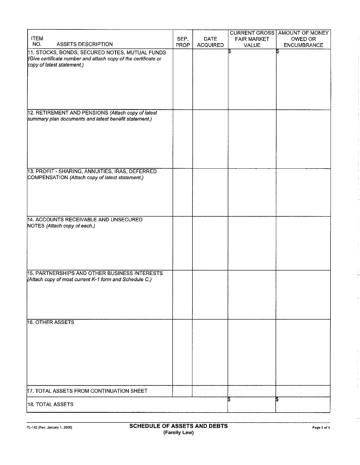| <b>ITEM</b>                                                                                                                                    | SEP. | <b>DATE</b>     | <b>CURRENT GROSS</b><br><b>FAIR MARKET</b> | <b>AMOUNT OF MONEY</b><br>OWED OR |
|------------------------------------------------------------------------------------------------------------------------------------------------|------|-----------------|--------------------------------------------|-----------------------------------|
| NO.<br><b>ASSETS DESCRIPTION</b>                                                                                                               | PROP | <b>ACQUIRED</b> | VALUE                                      | ENCUMBRANCE                       |
| 11. STOCKS, BONDS, SECURED NOTES, MUTUAL FUNDS<br>(Give certificate number and attach copy of the certificate or<br>copy of latest statement.) |      |                 |                                            | S                                 |
| 12. RETIREMENT AND PENSIONS (Attach copy of latest<br>summary plan documents and latest benefit statement.)                                    |      |                 |                                            |                                   |
|                                                                                                                                                |      |                 |                                            |                                   |
| 13. PROFIT - SHARING, ANNUITIES, IRAS, DEFERRED<br>COMPENSATION (Attach copy of latest statement.)                                             |      |                 |                                            |                                   |
| 14. ACCOUNTS RECEIVABLE AND UNSECURED<br>NOTES (Attach copy of each.)                                                                          |      |                 |                                            |                                   |
| 15. PARTNERSHIPS AND OTHER BUSINESS INTERESTS                                                                                                  |      |                 |                                            |                                   |
| (Attach copy of most current K-1 form and Schedule C.)                                                                                         |      |                 |                                            |                                   |
| 16. OTHER ASSETS                                                                                                                               |      |                 |                                            |                                   |
|                                                                                                                                                |      |                 |                                            |                                   |
| 17. TOTAL ASSETS FROM CONTINUATION SHEET                                                                                                       |      |                 |                                            |                                   |
| 18. TOTAL ASSETS                                                                                                                               |      |                 | IЪ                                         | IS.                               |

 $\ddot{\cdot}$ 

÷,

 $\frac{\lambda}{2}$ 

 $\frac{1}{2}$ ÷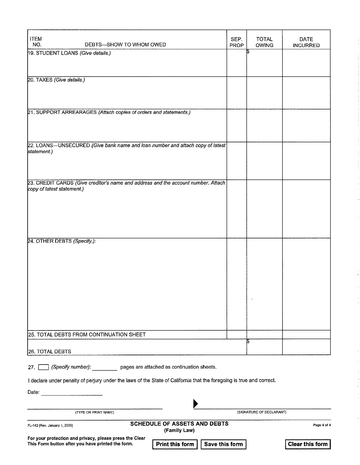| <b>ITEM</b><br>NO.<br>DEBTS-SHOW TO WHOM OWED                                                                                   | SEP.<br>PROP   | <b>TOTAL</b><br><b>OWING</b> | <b>DATE</b><br><b>INCURRED</b> |
|---------------------------------------------------------------------------------------------------------------------------------|----------------|------------------------------|--------------------------------|
| 19. STUDENT LOANS (Give details.)                                                                                               |                |                              |                                |
|                                                                                                                                 |                |                              |                                |
| 20. TAXES (Give details.)                                                                                                       |                |                              |                                |
|                                                                                                                                 |                |                              |                                |
| 21. SUPPORT ARREARAGES (Attach copies of orders and statements.)                                                                |                |                              |                                |
|                                                                                                                                 |                |                              |                                |
|                                                                                                                                 |                |                              |                                |
| 22. LOANS-UNSECURED (Give bank name and loan number and attach copy of latest                                                   |                |                              |                                |
| statement.)                                                                                                                     |                |                              |                                |
|                                                                                                                                 |                |                              |                                |
| 23. CREDIT CARDS (Give creditor's name and address and the account number. Attach<br>copy of latest statement.)                 |                |                              |                                |
|                                                                                                                                 |                |                              |                                |
|                                                                                                                                 |                |                              |                                |
|                                                                                                                                 |                |                              |                                |
| 24. OTHER DEBTS (Specify.):                                                                                                     |                |                              |                                |
|                                                                                                                                 |                |                              |                                |
|                                                                                                                                 |                |                              |                                |
|                                                                                                                                 |                |                              |                                |
|                                                                                                                                 |                |                              |                                |
|                                                                                                                                 |                |                              |                                |
|                                                                                                                                 |                |                              |                                |
|                                                                                                                                 |                |                              |                                |
| 25. TOTAL DEBTS FROM CONTINUATION SHEET                                                                                         |                | 5                            |                                |
| <b>26. TOTAL DEBTS</b>                                                                                                          |                |                              |                                |
| (Specify number): pages are attached as continuation sheets.<br>27.                                                             |                |                              |                                |
| I declare under penalty of perjury under the laws of the State of California that the foregoing is true and correct.            |                |                              |                                |
| Date: __________________________                                                                                                |                |                              |                                |
|                                                                                                                                 |                | (SIGNATURE OF DECLARANT)     |                                |
| (TYPE OR PRINT NAME)                                                                                                            |                |                              |                                |
| SCHEDULE OF ASSETS AND DEBTS<br>FL-142 [Rev. January 1, 2005]<br>(Family Law)                                                   |                |                              | Page 4 of 4                    |
| For your protection and privacy, please press the Clear<br>This Form button after you have printed the form.<br>Print this form | Save this form |                              | <b>Clear this form</b>         |

ţ

 $\frac{1}{\lambda}$ 

 $\frac{1}{\pi}$ 

 $\overline{\phantom{a}}$ 

 $\hat{\cdot}$ 

the company of the company of

 $\begin{array}{c}\n\ddots \\
\vdots \\
\vdots\n\end{array}$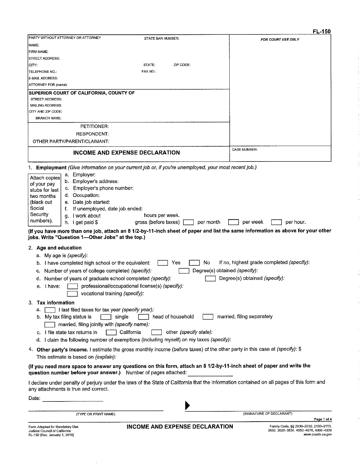|                                                                                                                              |                                                                                         | rl-130                                                                                                                                    |
|------------------------------------------------------------------------------------------------------------------------------|-----------------------------------------------------------------------------------------|-------------------------------------------------------------------------------------------------------------------------------------------|
| PARTY WITHOUT ATTORNEY OR ATTORNEY                                                                                           | STATE BAR NUMBER:                                                                       | FOR COURT USE ONLY                                                                                                                        |
| NAME:                                                                                                                        |                                                                                         |                                                                                                                                           |
| FIRM NAME:                                                                                                                   |                                                                                         |                                                                                                                                           |
| STREET ADDRESS:                                                                                                              |                                                                                         |                                                                                                                                           |
| CITY:                                                                                                                        | STATE:<br>ZIP CODE:                                                                     |                                                                                                                                           |
| TELEPHONE NO.:                                                                                                               | <b>FAX NO.:</b>                                                                         |                                                                                                                                           |
| E-MAIL ADDRESS:                                                                                                              |                                                                                         |                                                                                                                                           |
| ATTORNEY FOR (name):                                                                                                         |                                                                                         |                                                                                                                                           |
| SUPERIOR COURT OF CALIFORNIA, COUNTY OF                                                                                      |                                                                                         |                                                                                                                                           |
| STREET ADDRESS:<br>MAILING ADDRESS:                                                                                          |                                                                                         |                                                                                                                                           |
| CITY AND ZIP CODE:                                                                                                           |                                                                                         |                                                                                                                                           |
| <b>BRANCH NAME:</b>                                                                                                          |                                                                                         |                                                                                                                                           |
|                                                                                                                              |                                                                                         |                                                                                                                                           |
| PETITIONER:                                                                                                                  |                                                                                         |                                                                                                                                           |
| <b>RESPONDENT:</b>                                                                                                           |                                                                                         |                                                                                                                                           |
| OTHER PARTY/PARENT/CLAIMANT:                                                                                                 |                                                                                         |                                                                                                                                           |
| INCOME AND EXPENSE DECLARATION                                                                                               |                                                                                         | <b>CASE NUMBER:</b>                                                                                                                       |
| Employment (Give information on your current job or, if you're unemployed, your most recent job.)<br>1.                      |                                                                                         |                                                                                                                                           |
| a. Employer:                                                                                                                 |                                                                                         |                                                                                                                                           |
| Attach copies<br>b. Employer's address:<br>of your pay                                                                       |                                                                                         |                                                                                                                                           |
| Employer's phone number:<br>c.<br>stubs for last                                                                             |                                                                                         |                                                                                                                                           |
| d. Occupation:<br>two months                                                                                                 |                                                                                         |                                                                                                                                           |
| e. Date job started:<br>(black out                                                                                           |                                                                                         |                                                                                                                                           |
| Social<br>If unemployed, date job ended:                                                                                     |                                                                                         |                                                                                                                                           |
| Security<br>I work about<br>g.                                                                                               | hours per week.                                                                         |                                                                                                                                           |
| numbers).<br>I get paid \$<br>h.                                                                                             | gross (before taxes)<br>per month                                                       | per week<br>per hour.                                                                                                                     |
|                                                                                                                              |                                                                                         | (If you have more than one job, attach an 8 1/2-by-11-inch sheet of paper and list the same information as above for your other           |
| jobs. Write "Question 1-Other Jobs" at the top.)                                                                             |                                                                                         |                                                                                                                                           |
|                                                                                                                              |                                                                                         |                                                                                                                                           |
| 2. Age and education                                                                                                         |                                                                                         |                                                                                                                                           |
| a. My age is (specify):                                                                                                      |                                                                                         |                                                                                                                                           |
| b. I have completed high school or the equivalent:                                                                           | No<br>Yes                                                                               | If no, highest grade completed (specify):                                                                                                 |
| Number of years of college completed (specify):<br>C.                                                                        |                                                                                         | Degree(s) obtained (specify):                                                                                                             |
| Number of years of graduate school completed (specify):<br>₫.                                                                |                                                                                         | Degree(s) obtained (specify):                                                                                                             |
| I have:<br>е.                                                                                                                | professional/occupational license(s) (specify):                                         |                                                                                                                                           |
| vocational training (specify):                                                                                               |                                                                                         |                                                                                                                                           |
|                                                                                                                              |                                                                                         |                                                                                                                                           |
| <b>Tax information</b><br>З.                                                                                                 |                                                                                         |                                                                                                                                           |
| I last filed taxes for tax year (specify year):<br>а.                                                                        |                                                                                         |                                                                                                                                           |
| b. My tax filing status is<br>single                                                                                         | head of household                                                                       | married, filing separately                                                                                                                |
| married, filing jointly with (specify name):                                                                                 |                                                                                         |                                                                                                                                           |
| c. I file state tax returns in                                                                                               | other (specify state).<br>California                                                    |                                                                                                                                           |
|                                                                                                                              | d. I claim the following number of exemptions (including myself) on my taxes (specify): |                                                                                                                                           |
| 4. Other party's income. I estimate the gross monthly income (before taxes) of the other party in this case at (specify): \$ |                                                                                         |                                                                                                                                           |
| This estimate is based on (explain):                                                                                         |                                                                                         |                                                                                                                                           |
| (If you need more space to answer any questions on this form, attach an 8 1/2-by-11-inch sheet of paper and write the        |                                                                                         |                                                                                                                                           |
| question number before your answer.) Number of pages attached:                                                               |                                                                                         |                                                                                                                                           |
| any attachments is true and correct.                                                                                         |                                                                                         | I declare under penalty of perjury under the laws of the State of California that the information contained on all pages of this form and |
| Date:                                                                                                                        |                                                                                         |                                                                                                                                           |
| (TYPE OR PRINT NAME)                                                                                                         |                                                                                         | (SIGNATURE OF DECLARANT)                                                                                                                  |
|                                                                                                                              |                                                                                         | Page 1 of 4                                                                                                                               |
| Form Adopted for Mandatory Use<br>Judicial Council of California<br>FL-150 [Rev. January 1, 2019]                            | INCOME AND EXPENSE DECLARATION                                                          | Family Code, §§ 2030-2032, 2100-2113,<br>3552, 3620-3634, 4050-4076, 4300-4339<br>www.courts.ca.gov                                       |

 $\ddot{\phantom{0}}$ 

 $F1 - 150$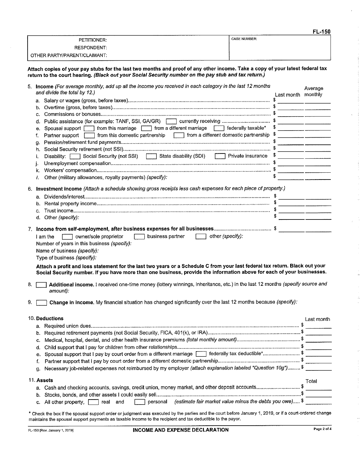|                              |                     | <b>FL-150</b> |
|------------------------------|---------------------|---------------|
| <b>PETITIONER:</b>           | <b>CASE NUMBER:</b> |               |
| <b>RESPONDENT:</b>           |                     |               |
| OTHER PARTY/PARENT/CLAIMANT: |                     |               |

Attach copies of your pay stubs for the last two months and proof of any other income. Take a copy of your latest federal tax return to the court hearing. (Black out your Social Security number on the pay stub and tax return.)

|    | 5. Income (For average monthly, add up all the income you received in each category in the last 12 months<br>and divide the total by 12.)                                                                                                                                                                             | Last month monthly | Average                                                                                                                 |
|----|-----------------------------------------------------------------------------------------------------------------------------------------------------------------------------------------------------------------------------------------------------------------------------------------------------------------------|--------------------|-------------------------------------------------------------------------------------------------------------------------|
|    |                                                                                                                                                                                                                                                                                                                       |                    |                                                                                                                         |
|    | b.                                                                                                                                                                                                                                                                                                                    |                    |                                                                                                                         |
|    | c.                                                                                                                                                                                                                                                                                                                    |                    |                                                                                                                         |
|    |                                                                                                                                                                                                                                                                                                                       |                    |                                                                                                                         |
|    | d.                                                                                                                                                                                                                                                                                                                    |                    |                                                                                                                         |
|    | Spousal support   from this marriage   from a different marriage   federally taxable*<br>е.                                                                                                                                                                                                                           | \$.                |                                                                                                                         |
|    | Partner support $\Box$ from this domestic partnership $\Box$ from a different domestic partnership $\sqrt[5]{\ }$<br>f.                                                                                                                                                                                               |                    |                                                                                                                         |
|    | g.                                                                                                                                                                                                                                                                                                                    |                    | <u> Alexandria (Alexandria Alexandria Alexandria Alexandria Alexandria Alexandria Alexandria Alexandria Alexandria </u> |
|    | h.                                                                                                                                                                                                                                                                                                                    |                    | <u> 1980 - Jan Barristo, martin al-Amerikaansk filozof (</u>                                                            |
|    | Disability: Social Security (not SSI) State disability (SDI) Since Private insurance \$<br>i.                                                                                                                                                                                                                         |                    |                                                                                                                         |
|    | j.                                                                                                                                                                                                                                                                                                                    |                    | <u> 1980 - John Harry Harry Harry Harry Harry Harry Harry Harry Harry Harry Harry Harry Harry Harry Harry Harry H</u>   |
|    | k.                                                                                                                                                                                                                                                                                                                    |                    |                                                                                                                         |
|    | Other (military allowances, royalty payments) (specify):<br>I.                                                                                                                                                                                                                                                        |                    |                                                                                                                         |
|    |                                                                                                                                                                                                                                                                                                                       |                    |                                                                                                                         |
|    | 6. Investment income (Attach a schedule showing gross receipts less cash expenses for each piece of property.)                                                                                                                                                                                                        |                    |                                                                                                                         |
|    |                                                                                                                                                                                                                                                                                                                       |                    |                                                                                                                         |
|    |                                                                                                                                                                                                                                                                                                                       |                    |                                                                                                                         |
|    | b.                                                                                                                                                                                                                                                                                                                    |                    |                                                                                                                         |
|    | c.                                                                                                                                                                                                                                                                                                                    |                    | and the control of the control of the control of the control of the control of the control of the control of the        |
|    | d. Other (specify):                                                                                                                                                                                                                                                                                                   |                    |                                                                                                                         |
|    |                                                                                                                                                                                                                                                                                                                       |                    |                                                                                                                         |
|    | business partner<br>other (specify):<br>owner/sole proprietor<br>I am the<br>Number of years in this business (specify):<br>Name of business (specify):<br>Type of business (specify):<br>Attach a profit and loss statement for the last two years or a Schedule C from your last federal tax return. Black out your |                    |                                                                                                                         |
| 8. | Social Security number. If you have more than one business, provide the information above for each of your businesses.<br>Additional income. I received one-time money (lottery winnings, inheritance, etc.) in the last 12 months (specify source and<br>amount):                                                    |                    |                                                                                                                         |
| 9. | Change in income. My financial situation has changed significantly over the last 12 months because (specify):                                                                                                                                                                                                         |                    |                                                                                                                         |
|    |                                                                                                                                                                                                                                                                                                                       |                    |                                                                                                                         |
|    | 10. Deductions                                                                                                                                                                                                                                                                                                        |                    | Last month                                                                                                              |
|    |                                                                                                                                                                                                                                                                                                                       |                    |                                                                                                                         |
|    |                                                                                                                                                                                                                                                                                                                       |                    |                                                                                                                         |
|    |                                                                                                                                                                                                                                                                                                                       |                    |                                                                                                                         |
|    |                                                                                                                                                                                                                                                                                                                       |                    |                                                                                                                         |
|    | d.                                                                                                                                                                                                                                                                                                                    |                    |                                                                                                                         |
|    | Spousal support that I pay by court order from a different marriage [11] federally tax deductible*\$<br>е.                                                                                                                                                                                                            |                    |                                                                                                                         |
|    | f.                                                                                                                                                                                                                                                                                                                    |                    |                                                                                                                         |
|    | Necessary job-related expenses not reimbursed by my employer (attach explanation labeled "Question 10g") \$<br>g.                                                                                                                                                                                                     |                    |                                                                                                                         |
|    |                                                                                                                                                                                                                                                                                                                       |                    |                                                                                                                         |
|    | 11. Assets                                                                                                                                                                                                                                                                                                            |                    | Total                                                                                                                   |
|    | Cash and checking accounts, savings, credit union, money market, and other deposit accounts\$<br>а.                                                                                                                                                                                                                   |                    |                                                                                                                         |
|    | b.                                                                                                                                                                                                                                                                                                                    |                    |                                                                                                                         |
|    | personal (estimate fair market value minus the debts you owe) \$<br>All other property, $\Gamma$<br>real and<br>с.                                                                                                                                                                                                    |                    |                                                                                                                         |
|    |                                                                                                                                                                                                                                                                                                                       |                    |                                                                                                                         |
|    | * Check the box if the spousal support order or judgment was executed by the parties and the court before January 1, 2019, or if a court-ordered change                                                                                                                                                               |                    |                                                                                                                         |

maintains the spousal support payments as taxable income to the recipient and tax deductible to the payor.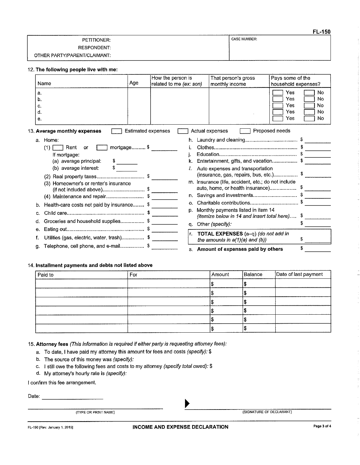|                              | - - - - -           |
|------------------------------|---------------------|
| PETITIONER:                  | <b>CASE NUMBER:</b> |
| <b>RESPONDENT:</b>           |                     |
| OTHER PARTY/PARENT/CLAIMANT: |                     |

#### 12. The following people live with me:

|    | Name                                             | Age                       | How the person is<br>related to me (ex: son) | That person's gross<br>monthly income                                             | Pays some of the<br>household expenses? |                            |
|----|--------------------------------------------------|---------------------------|----------------------------------------------|-----------------------------------------------------------------------------------|-----------------------------------------|----------------------------|
|    | а.<br>b.<br>С.<br>d.<br>е.                       |                           |                                              |                                                                                   | Yes<br>Yes<br>Yes<br>Yes<br>Yes         | No<br>No<br>No<br>No<br>No |
|    | 13. Average monthly expenses                     | <b>Estimated expenses</b> |                                              | Actual expenses                                                                   | Proposed needs                          |                            |
|    | a. Home:                                         |                           |                                              |                                                                                   |                                         |                            |
|    | (1)<br>Rent<br>or                                | mortgage \$               |                                              |                                                                                   |                                         |                            |
|    | If mortgage:                                     |                           |                                              |                                                                                   |                                         |                            |
|    | (a) average principal.                           |                           |                                              | Entertainment, gifts, and vacation \$                                             |                                         |                            |
|    | (b) average interest:                            |                           |                                              | Auto expenses and transportation<br>(insurance, gas, repairs, bus, etc.)          |                                         | Þ                          |
|    | (3) Homeowner's or renter's insurance            |                           |                                              | m. Insurance (life, accident, etc.; do not include                                |                                         |                            |
|    |                                                  |                           |                                              | auto, home, or health insurance)                                                  |                                         |                            |
|    | (4) Maintenance and repair\$                     |                           |                                              |                                                                                   |                                         |                            |
|    | Health-care costs not paid by insurance \$<br>b. |                           | О.                                           |                                                                                   |                                         |                            |
|    | c.                                               |                           | p.                                           | Monthly payments listed in item 14<br>(itemize below in 14 and insert total here) |                                         |                            |
| d. | Groceries and household supplies\$               |                           | q.                                           | Other (specify):                                                                  |                                         |                            |
|    | е.                                               |                           | Ir.                                          | TOTAL EXPENSES (a-q) (do not add in                                               |                                         |                            |
|    | Utilities (gas, electric, water, trash) \$       |                           |                                              | the amounts in $a(1)(a)$ and $(b)$ )                                              |                                         | S                          |
|    | Telephone, cell phone, and e-mail \$<br>g.       |                           |                                              | s. Amount of expenses paid by others                                              |                                         | \$                         |

#### 14. Installment payments and debts not listed above

| Paid to | For | Amount | Balance | Date of last payment |
|---------|-----|--------|---------|----------------------|
|         |     |        |         |                      |
|         |     |        |         |                      |
|         |     |        |         |                      |
|         |     |        |         |                      |
|         |     |        |         |                      |
|         |     |        |         |                      |

15. Attorney fees (This information is required if either party is requesting attorney fees):

- a. To date, I have paid my attorney this amount for fees and costs (specify): \$
- b. The source of this money was (specify):
- c. I still owe the following fees and costs to my attorney (specify total owed): \$
- d. My attorney's hourly rate is (specify):

I confirm this fee arrangement.

(TYPE OR PRINT NAME)

(SIGNATURE OF DECLARANT)

FL-150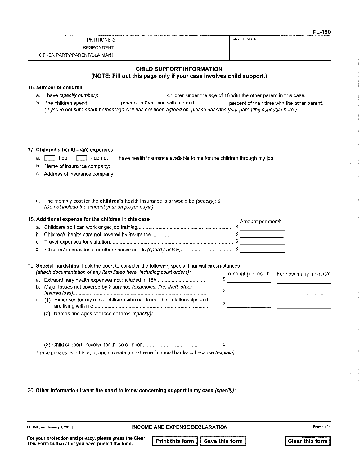|                              | - - -        |
|------------------------------|--------------|
| PETITIONER:                  | CASE NUMBER: |
| RESPONDENT:                  |              |
| OTHER PARTY/PARENT/CLAIMANT: |              |

### **CHILD SUPPORT INFORMATION** (NOTE: Fill out this page only if your case involves child support.)

### 16. Number of children

a.  $\Box$  1 do

a. I have (specify number):

- children under the age of 18 with the other parent in this case.
- b. The children spend percent of their time with me and percent of their time with the other parent. (If you're not sure about percentage or it has not been agreed on, please describe your parenting schedule here.)

#### 17. Children's health-care expenses

- $\Box$  I do not have health insurance available to me for the children through my job.
- b. Name of insurance company:
- c. Address of insurance company:
- d. The monthly cost for the children's health insurance is or would be (specify): \$ (Do not include the amount your employer pays.)

#### 18. Additional expense for the children in this case

| . Additional expense for the children in this case | Amount per month |
|----------------------------------------------------|------------------|
|                                                    |                  |
|                                                    |                  |
|                                                    |                  |
|                                                    |                  |

### 19. Special hardships. I ask the court to consider the following special financial circumstances

| (attach documentation of any item listed here, including court orders):    |  | Amount per month For how many months? |
|----------------------------------------------------------------------------|--|---------------------------------------|
|                                                                            |  |                                       |
| b. Major losses not covered by insurance (examples: fire, theft, other     |  |                                       |
| c. (1) Expenses for my minor children who are from other relationships and |  |                                       |
| (2) Names and ages of those children (specify):                            |  |                                       |

| The expenses listed in a, b, and c create an extreme financial hardship because <i>(explain):</i> |  |
|---------------------------------------------------------------------------------------------------|--|

#### 20. Other information I want the court to know concerning support in my case (specify):

FL-150 [Rev. January 1, 2019]

**INCOME AND EXPENSE DECLARATION** 

Print this form Save this form **Clear this form** 

 $F1 - 150$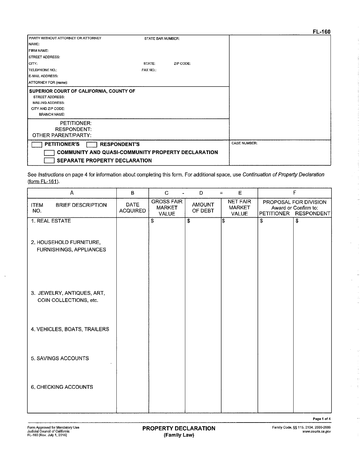|                                                                                                                                           |                     |           | <b>L-100</b> |
|-------------------------------------------------------------------------------------------------------------------------------------------|---------------------|-----------|--------------|
| PARTY WITHOUT ATTORNEY OR ATTORNEY                                                                                                        | STATE BAR NUMBER:   |           |              |
| INAME:                                                                                                                                    |                     |           |              |
| <b>FIRM NAME:</b>                                                                                                                         |                     |           |              |
| <b>STREET ADDRESS:</b>                                                                                                                    |                     |           |              |
| ICITY:                                                                                                                                    | STATE:              | ZIP CODE: |              |
| TELEPHONE NO.:                                                                                                                            | FAX NO.:            |           |              |
| E-MAIL ADDRESS:                                                                                                                           |                     |           |              |
| ATTORNEY FOR (name):                                                                                                                      |                     |           |              |
| SUPERIOR COURT OF CALIFORNIA, COUNTY OF<br><b>STREET ADDRESS:</b><br><b>MAILING ADDRESS:</b><br>CITY AND ZIP CODE:<br><b>BRANCH NAME:</b> |                     |           |              |
| PETITIONER:<br><b>RESPONDENT:</b><br>OTHER PARENT/PARTY:                                                                                  |                     |           |              |
| <b>PETITIONER'S</b><br><b>RESPONDENT'S</b>                                                                                                | <b>CASE NUMBER:</b> |           |              |
| <b>COMMUNITY AND QUASI-COMMUNITY PROPERTY DECLARATION</b>                                                                                 |                     |           |              |
| <b>SEPARATE PROPERTY DECLARATION</b>                                                                                                      |                     |           |              |

See Instructions on page 4 for information about completing this form. For additional space, use Continuation of Property Declaration  $(form FL-161).$ 

| A                                                         | $\sf{B}$                | $\mathbf C$                                        | Ð                        | $\mathsf{E}% _{0}\left( t\right) \equiv\mathsf{E}_{\mathrm{H}}\left( t\right)$<br>$=$ | F                                                                                       |
|-----------------------------------------------------------|-------------------------|----------------------------------------------------|--------------------------|---------------------------------------------------------------------------------------|-----------------------------------------------------------------------------------------|
| <b>ITEM</b><br><b>BRIEF DESCRIPTION</b><br>NO.            | DATE<br><b>ACQUIRED</b> | <b>GROSS FAIR</b><br><b>MARKET</b><br><b>VALUE</b> | <b>AMOUNT</b><br>OF DEBT | <b>NET FAIR</b><br><b>MARKET</b><br><b>VALUE</b>                                      | PROPOSAL FOR DIVISION<br>Award or Confirm to:<br><b>PETITIONER</b><br><b>RESPONDENT</b> |
| 1. REAL ESTATE                                            |                         | $\overline{\$}$                                    | $\overline{\$}$          | 5                                                                                     | $\overline{\boldsymbol{s}}$<br>$\overline{\boldsymbol{\mathfrak{s}}}$                   |
| 2. HOUSEHOLD FURNITURE,<br><b>FURNISHINGS, APPLIANCES</b> |                         |                                                    |                          |                                                                                       |                                                                                         |
| 3. JEWELRY, ANTIQUES, ART,<br>COIN COLLECTIONS, etc.      |                         |                                                    |                          |                                                                                       |                                                                                         |
| 4. VEHICLES, BOATS, TRAILERS                              |                         |                                                    |                          |                                                                                       |                                                                                         |
| 5. SAVINGS ACCOUNTS                                       |                         |                                                    |                          |                                                                                       |                                                                                         |
| 6, CHECKING ACCOUNTS                                      |                         |                                                    |                          |                                                                                       |                                                                                         |
|                                                           |                         |                                                    |                          |                                                                                       |                                                                                         |

Page 1 of 4

 $\bar{z}$ 

 $\bar{\zeta}$ 

 $\overline{\mathbb{C}}$  $\bar{\tau}$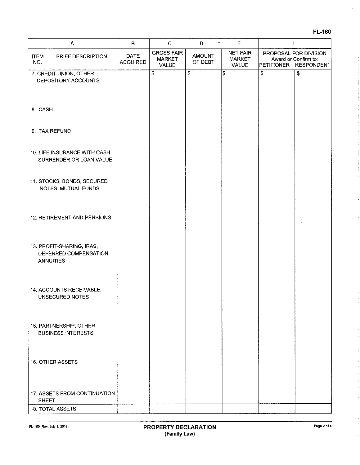|--|--|

 $\bar{\chi}$ 

 $\chi = \frac{1}{2}$ 

ĵ.

 $\epsilon$ 

ŧ

| $\mathsf B$             | $\mathbf C$                                 | D<br>$\equiv$            | $\mathsf E$                               |                                                                             |
|-------------------------|---------------------------------------------|--------------------------|-------------------------------------------|-----------------------------------------------------------------------------|
| DATE<br><b>ACQUIRED</b> | <b>GROSS FAIR</b><br><b>MARKET</b><br>VALUE | <b>AMOUNT</b><br>OF DEBT | <b>NET FAIR</b><br><b>MARKET</b><br>VALUE |                                                                             |
|                         | $\overline{\boldsymbol{\mathsf{s}}}$        | $\overline{\$}$          | \$                                        | \$<br>\$                                                                    |
|                         |                                             |                          |                                           |                                                                             |
|                         |                                             |                          |                                           |                                                                             |
|                         |                                             |                          |                                           |                                                                             |
|                         |                                             |                          |                                           |                                                                             |
|                         |                                             |                          |                                           |                                                                             |
|                         |                                             |                          |                                           |                                                                             |
|                         |                                             |                          |                                           |                                                                             |
|                         |                                             |                          |                                           |                                                                             |
|                         |                                             |                          |                                           |                                                                             |
|                         |                                             |                          |                                           |                                                                             |
|                         |                                             |                          | $\overline{\phantom{a}}$                  | F<br>PROPOSAL FOR DIVISION<br>Award or Confirm to:<br>PETITIONER RESPONDENT |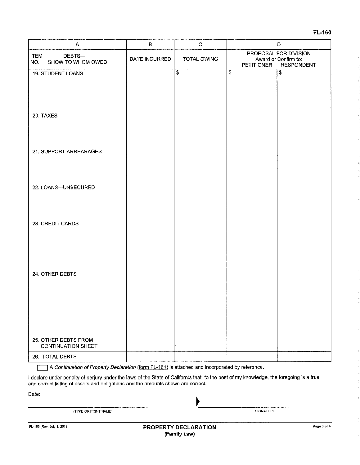### FL-160

| Α                                                 | $\, {\bf B}$  | $\mathbf C$        | $\mathsf D$                                                                             |                          |
|---------------------------------------------------|---------------|--------------------|-----------------------------------------------------------------------------------------|--------------------------|
| <b>ITEM</b><br>DEBTS-<br>SHOW TO WHOM OWED<br>NO. | DATE INCURRED | <b>TOTAL OWING</b> | PROPOSAL FOR DIVISION<br>Award or Confirm to:<br><b>RESPONDENT</b><br><b>PETITIONER</b> |                          |
| 19. STUDENT LOANS                                 |               | $\overline{\$}$    | $\overline{\mathbf{3}}$                                                                 | $\overline{\mathcal{S}}$ |
|                                                   |               |                    |                                                                                         |                          |
|                                                   |               |                    |                                                                                         |                          |
| 20. TAXES                                         |               |                    |                                                                                         |                          |
|                                                   |               |                    |                                                                                         |                          |
| 21. SUPPORT ARREARAGES                            |               |                    |                                                                                         |                          |
|                                                   |               |                    |                                                                                         |                          |
| 22. LOANS-UNSECURED                               |               |                    |                                                                                         |                          |
|                                                   |               |                    |                                                                                         |                          |
| 23. CREDIT CARDS                                  |               |                    |                                                                                         |                          |
|                                                   |               |                    |                                                                                         |                          |
|                                                   |               |                    |                                                                                         |                          |
|                                                   |               |                    |                                                                                         |                          |
| 24. OTHER DEBTS                                   |               |                    |                                                                                         |                          |
|                                                   |               |                    |                                                                                         |                          |
|                                                   |               |                    |                                                                                         |                          |
|                                                   |               |                    |                                                                                         |                          |
|                                                   |               |                    |                                                                                         |                          |
| 25. OTHER DEBTS FROM<br><b>CONTINUATION SHEET</b> |               |                    |                                                                                         |                          |
| 26. TOTAL DEBTS                                   |               |                    |                                                                                         |                          |

A Continuation of Property Declaration (form FL-161) is attached and incorporated by reference.

I declare under penalty of perjury under the laws of the State of California that, to the best of my knowledge, the foregoing is a true and correct listing of assets and obligations and the amounts shown are correct.

Date:

 $\Gamma$ 

|  | (TYPE OR PRINT NAME) |  |
|--|----------------------|--|
|  |                      |  |

**SIGNATURE**